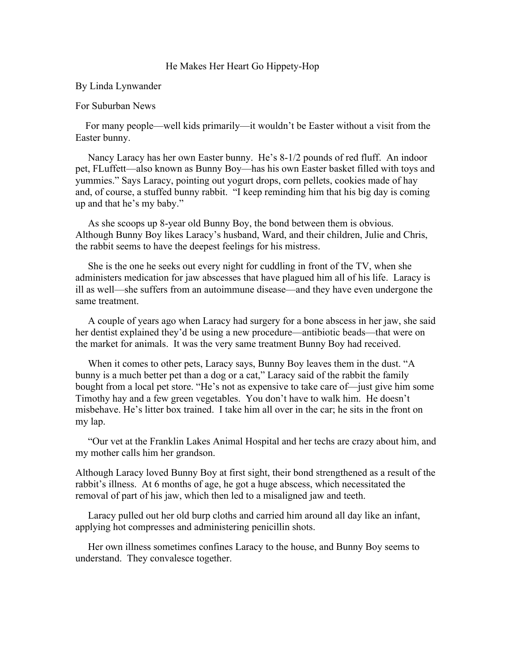## He Makes Her Heart Go Hippety-Hop

## By Linda Lynwander

## For Suburban News

 For many people—well kids primarily—it wouldn't be Easter without a visit from the Easter bunny.

 Nancy Laracy has her own Easter bunny. He's 8-1/2 pounds of red fluff. An indoor pet, FLuffett—also known as Bunny Boy—has his own Easter basket filled with toys and yummies." Says Laracy, pointing out yogurt drops, corn pellets, cookies made of hay and, of course, a stuffed bunny rabbit. "I keep reminding him that his big day is coming up and that he's my baby."

 As she scoops up 8-year old Bunny Boy, the bond between them is obvious. Although Bunny Boy likes Laracy's husband, Ward, and their children, Julie and Chris, the rabbit seems to have the deepest feelings for his mistress.

 She is the one he seeks out every night for cuddling in front of the TV, when she administers medication for jaw abscesses that have plagued him all of his life. Laracy is ill as well—she suffers from an autoimmune disease—and they have even undergone the same treatment.

 A couple of years ago when Laracy had surgery for a bone abscess in her jaw, she said her dentist explained they'd be using a new procedure—antibiotic beads—that were on the market for animals. It was the very same treatment Bunny Boy had received.

 When it comes to other pets, Laracy says, Bunny Boy leaves them in the dust. "A bunny is a much better pet than a dog or a cat," Laracy said of the rabbit the family bought from a local pet store. "He's not as expensive to take care of—just give him some Timothy hay and a few green vegetables. You don't have to walk him. He doesn't misbehave. He's litter box trained. I take him all over in the car; he sits in the front on my lap.

 "Our vet at the Franklin Lakes Animal Hospital and her techs are crazy about him, and my mother calls him her grandson.

Although Laracy loved Bunny Boy at first sight, their bond strengthened as a result of the rabbit's illness. At 6 months of age, he got a huge abscess, which necessitated the removal of part of his jaw, which then led to a misaligned jaw and teeth.

 Laracy pulled out her old burp cloths and carried him around all day like an infant, applying hot compresses and administering penicillin shots.

 Her own illness sometimes confines Laracy to the house, and Bunny Boy seems to understand. They convalesce together.